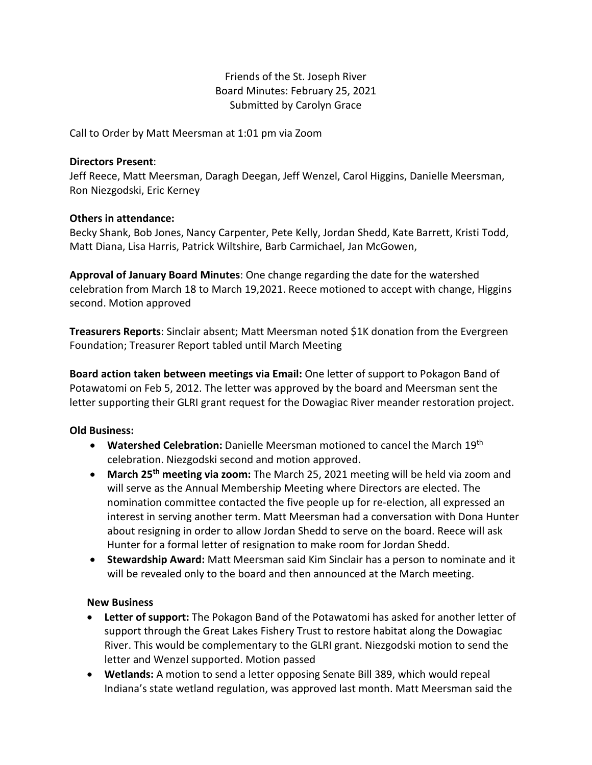# Friends of the St. Joseph River Board Minutes: February 25, 2021 Submitted by Carolyn Grace

Call to Order by Matt Meersman at 1:01 pm via Zoom

### **Directors Present**:

Jeff Reece, Matt Meersman, Daragh Deegan, Jeff Wenzel, Carol Higgins, Danielle Meersman, Ron Niezgodski, Eric Kerney

### **Others in attendance:**

Becky Shank, Bob Jones, Nancy Carpenter, Pete Kelly, Jordan Shedd, Kate Barrett, Kristi Todd, Matt Diana, Lisa Harris, Patrick Wiltshire, Barb Carmichael, Jan McGowen,

**Approval of January Board Minutes**: One change regarding the date for the watershed celebration from March 18 to March 19,2021. Reece motioned to accept with change, Higgins second. Motion approved

**Treasurers Reports**: Sinclair absent; Matt Meersman noted \$1K donation from the Evergreen Foundation; Treasurer Report tabled until March Meeting

**Board action taken between meetings via Email:** One letter of support to Pokagon Band of Potawatomi on Feb 5, 2012. The letter was approved by the board and Meersman sent the letter supporting their GLRI grant request for the Dowagiac River meander restoration project.

# **Old Business:**

- **Watershed Celebration:** Danielle Meersman motioned to cancel the March 19th celebration. Niezgodski second and motion approved.
- **March 25th meeting via zoom:** The March 25, 2021 meeting will be held via zoom and will serve as the Annual Membership Meeting where Directors are elected. The nomination committee contacted the five people up for re-election, all expressed an interest in serving another term. Matt Meersman had a conversation with Dona Hunter about resigning in order to allow Jordan Shedd to serve on the board. Reece will ask Hunter for a formal letter of resignation to make room for Jordan Shedd.
- **Stewardship Award:** Matt Meersman said Kim Sinclair has a person to nominate and it will be revealed only to the board and then announced at the March meeting.

#### **New Business**

- **Letter of support:** The Pokagon Band of the Potawatomi has asked for another letter of support through the Great Lakes Fishery Trust to restore habitat along the Dowagiac River. This would be complementary to the GLRI grant. Niezgodski motion to send the letter and Wenzel supported. Motion passed
- **Wetlands:** A motion to send a letter opposing Senate Bill 389, which would repeal Indiana's state wetland regulation, was approved last month. Matt Meersman said the